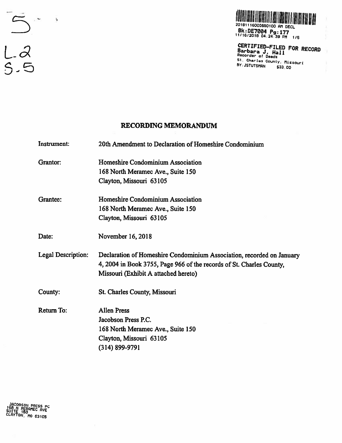

BCCLIFIEU-FILED FOR RECORD ecorder of Deeds St. Charles County, Missouri BY: JSTUTSMAN \$33.00

### RECORDING MEMORANDUM

Instrument: 20th Amendment to Declaration of Homeshire Condominium Grantor: Homeshire Condominium Association 168 North Meramec Ave., Suite 150 Clayton, Missouri 63105 Grantee: Homeshire Condominium Association 168 North Meramec Ave., Suite 150 Clayton, Missouri 63105 Date: November 16, 2018 Legal Description: Declaration of Homeshire Condominium Association, recorded on January 4, 2004 in Book 3755, Page 966 of the records of St. Charles County, Missouri (Exhibit A attached hereto) County: St. Charles County, Missouri Return To: Allen Press Jacobson Press P.C. 168 North Meramec Ave., Suite 150 Clayton, Missouri 63105 (314) 899-9791

—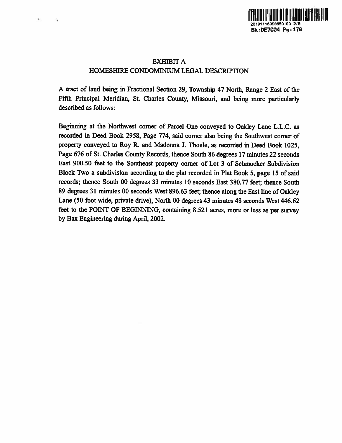

# EXHIBIT A HOMESHIRE CONDOMINIUM LEGAL DESCRIPTION

Ϋ.

<sup>A</sup> tract of land being in Fractional Section 29, Township 47 North, Range <sup>2</sup> East of the Fifth Principal Meridian, St. Charles County, Missouri, and being more particularly described as follows:

Beginning at the Northwest corner of Parcel One conveyed to Oakley Lane L.L.C. as recorded in Deed Book 2958, Page 774, said corner also being the Southwest corner of property conveyed to Roy R. and Madonna I. Thoele, as recorded in Deed Book 1025, Page <sup>676</sup> of St. Charles County Records, thence South 86 degrees <sup>17</sup> minutes <sup>22</sup> seconds East 900.50 feet to the Southeast property corner of Lot 3 of Schmucker Subdivision Block Two <sup>a</sup> subdivision according to the <sup>p</sup>lat recorded in Plat Book 5, page 15 of said records; thence South 00 degrees 33 minutes 10 seconds East 380.77 feet; thence South 89 degrees 31 minutes 00 seconds West 896.63 feet; thence along the East line of Oakley Lane (50 foot wide, private drive), North 00 degrees 43 minutes 48 seconds West 446.62 feet to the POINT OF BEGINNING, containing 8.521 acres, more or less as per survey by Bax Engineering during April, 2002.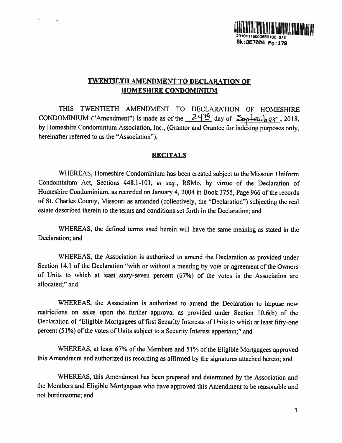

# TWENTIETH AMENDMENT TO DECLARATION OF HOMESHIRE CONDOMINIUM

 $\bullet$ 

THIS TWENTIETH AMENDMENT TO DECLARATION OF HOMESHIRE CONDOMINIUM ("Amendment") is made as of the  $\frac{24\pi}{3}$  day of  $\frac{5}{20}$  and  $\frac{1}{20}$ , 2018. by Homeshire Condominium Association, Inc., (Grantor and Grantee for indexing purposes only, hereinafter referred to as the "Association").

### **RECITALS**

WHEREAS, Homeshire Condominium has been created subject to the Missouri Uniform Condominium Act, Sections 448.1-101, et seq., RSMo, by virtue of the Declaration of Homeshire Condominium, as recorded on January 4, 2004 in Book 3755, Page 966 of the records of St. Charles County, Missouri as amended (collectively, the "Declaration") subjecting the real estate described therein to the terms and conditions set forth in the Declaration; and

WHEREAS, the defined terms used herein will have the same meaning as stated in the Declaration; and

WHEREAS, the Association is authorized to amend the Declaration as provided under Section 14.1 of the Declaration "with or without <sup>a</sup> meeting by vote or agreement of the Owners of Units to which at least sixty-seven percent (67%) of the votes in the Association are allocated;" and

WHEREAS. the Association is authorized to amend the Declaration to impose new restrictions on sales upon the further approval as provided under Section 10.6(b) of the Declaration of "Eligible Mortgagees of first Security Interests of Units to which at least fifty-one percent (51%) of the votes of Units subject to <sup>a</sup> Security Interest appertain;" and

WHEREAS, at least 67% of the Members and 51% of the Eligible Mortgagees approved this Amendment and authorized its recording as affirmed by the signatures attached hereto; and

WHEREAS, this Amendment has been prepared and determined by the Association and the Members and Eligible Mortgagees who have approved this Amendment to be reasonable and not burdensome; and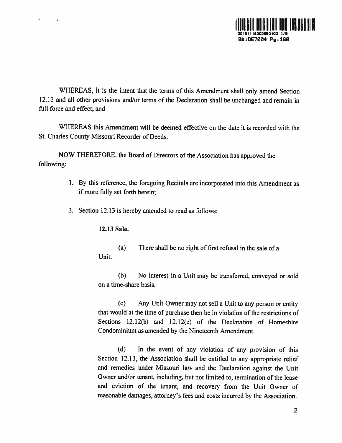

WHEREAS, it is the intent that the terms of this Amendment shall only amend Section 12.13 and all other provisions and/or terms of the Declaration shall be unchanged and remain in full force and effect; and

WHEREAS this Amendment will be deemed effective on the date it is recorded with the St. Charles County Missouri Recorder of Deeds.

NOW THEREFORE, the Board of Directors of the Association has approve<sup>d</sup> the following:

- 1. By this reference, the foregoing Recitals are incorporated into this Amendment as if more fully set forth herein;
- 2. Section 12.13 is hereby amended to read as follows:

12.13 Sale.

 $\bullet$ 

(a) There shall be no right of first refusal in the sale of <sup>a</sup> Unit.

(b) No interest in <sup>a</sup> Unit may be transferred, conveyed or sold on <sup>a</sup> time-share basis.

(c) Any Unit Owner may not sell <sup>a</sup> Unit to any person or entity that would at the time of purchase then be in violation of the restrictions of Sections 12.12(b) and 12.12(c) of the Declaration of Homeshire Condominium as amended by the Nineteenth Amendment.

(d) In the event of any violation of any provision of this Section 12.13, the Association shall be entitled to any appropriate relief and remedies under Missouri law and the Declaration against the Unit Owner and/or tenant, including, but not limited to, termination of the lease and eviction of the tenant, and recovery from the Unit Owner of reasonable damages, attorney's fees and costs incurred by the Association.